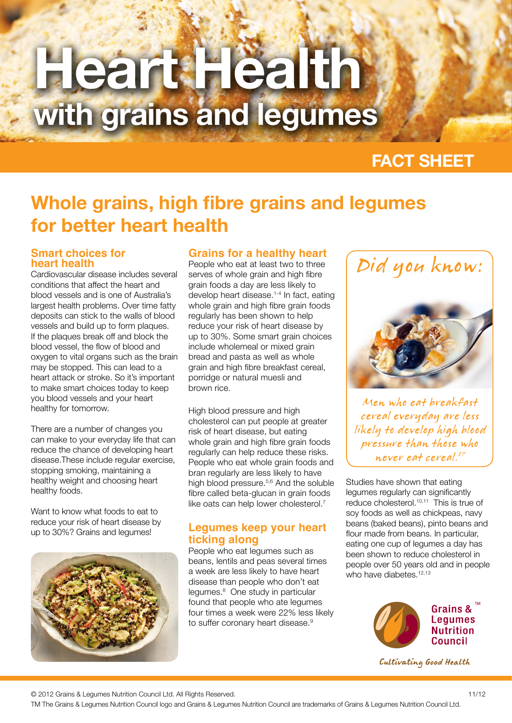# **Heart Health with grains and legumes**

# **FACT SHEET**

# **Whole grains, high fibre grains and legumes for better heart health**

### **Smart choices for heart health**

Cardiovascular disease includes several conditions that affect the heart and blood vessels and is one of Australia's largest health problems. Over time fatty deposits can stick to the walls of blood vessels and build up to form plaques. If the plaques break off and block the blood vessel, the flow of blood and oxygen to vital organs such as the brain may be stopped. This can lead to a heart attack or stroke. So it's important to make smart choices today to keep you blood vessels and your heart healthy for tomorrow.

There are a number of changes you can make to your everyday life that can reduce the chance of developing heart disease.These include regular exercise, stopping smoking, maintaining a healthy weight and choosing heart healthy foods.

Want to know what foods to eat to reduce your risk of heart disease by up to 30%? Grains and legumes!



# **Grains for a healthy heart**

People who eat at least two to three serves of whole grain and high fibre grain foods a day are less likely to develop heart disease.1-4 In fact, eating whole grain and high fibre grain foods regularly has been shown to help reduce your risk of heart disease by up to 30%. Some smart grain choices include wholemeal or mixed grain bread and pasta as well as whole grain and high fibre breakfast cereal, porridge or natural muesli and brown rice.

High blood pressure and high cholesterol can put people at greater risk of heart disease, but eating whole grain and high fibre grain foods regularly can help reduce these risks. People who eat whole grain foods and bran regularly are less likely to have high blood pressure.5,6 And the soluble fibre called beta-glucan in grain foods like oats can help lower cholesterol.<sup>7</sup>

## **Legumes keep your heart ticking along**

People who eat legumes such as beans, lentils and peas several times a week are less likely to have heart disease than people who don't eat legumes.<sup>8</sup> One study in particular found that people who ate legumes four times a week were 22% less likely to suffer coronary heart disease.<sup>9</sup>





Men who eat breakfast cereal everyday are less likely to develop high blood pressure than those who never eat cereal.17

Studies have shown that eating legumes regularly can significantly reduce cholesterol.10,11 This is true of soy foods as well as chickpeas, navy beans (baked beans), pinto beans and flour made from beans. In particular, eating one cup of legumes a day has been shown to reduce cholesterol in people over 50 years old and in people who have diabetes.<sup>12,13</sup>



Cultivating Good Health

© 2012 Grains & Legumes Nutrition Council Ltd. All Rights Reserved.

TM The Grains & Legumes Nutrition Council logo and Grains & Legumes Nutrition Council are trademarks of Grains & Legumes Nutrition Council Ltd.